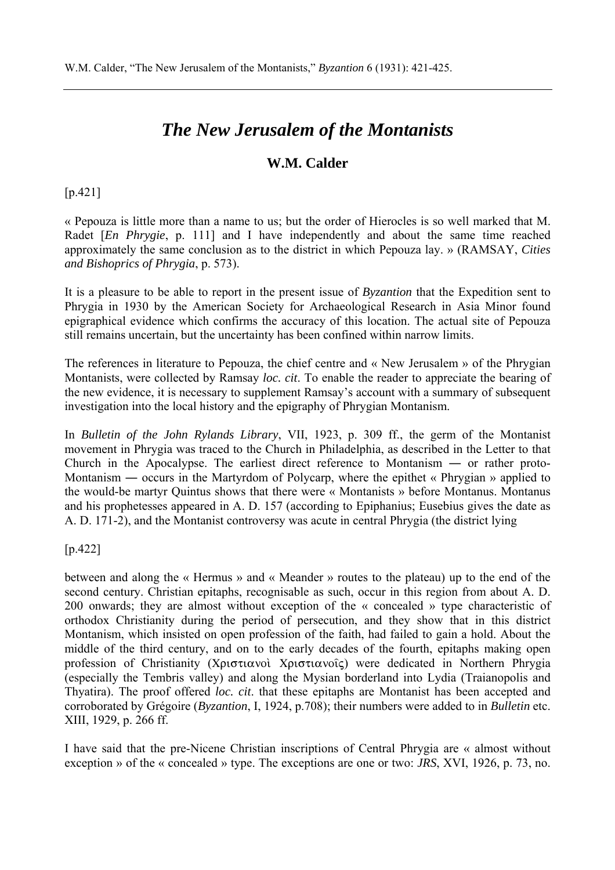## *The New Jerusalem of the Montanists*

## **W.M. Calder**

## [p.421]

« Pepouza is little more than a name to us; but the order of Hierocles is so well marked that M. Radet [*En Phrygie*, p. 111] and I have independently and about the same time reached approximately the same conclusion as to the district in which Pepouza lay. » (RAMSAY, *Cities and Bishoprics of Phrygia*, p. 573).

It is a pleasure to be able to report in the present issue of *Byzantion* that the Expedition sent to Phrygia in 1930 by the American Society for Archaeological Research in Asia Minor found epigraphical evidence which confirms the accuracy of this location. The actual site of Pepouza still remains uncertain, but the uncertainty has been confined within narrow limits.

The references in literature to Pepouza, the chief centre and « New Jerusalem » of the Phrygian Montanists, were collected by Ramsay *loc. cit*. To enable the reader to appreciate the bearing of the new evidence, it is necessary to supplement Ramsay's account with a summary of subsequent investigation into the local history and the epigraphy of Phrygian Montanism.

In *Bulletin of the John Rylands Library*, VII, 1923, p. 309 ff., the germ of the Montanist movement in Phrygia was traced to the Church in Philadelphia, as described in the Letter to that Church in the Apocalypse. The earliest direct reference to Montanism ― or rather proto-Montanism — occurs in the Martyrdom of Polycarp, where the epithet « Phrygian » applied to the would-be martyr Quintus shows that there were « Montanists » before Montanus. Montanus and his prophetesses appeared in A. D. 157 (according to Epiphanius; Eusebius gives the date as A. D. 171-2), and the Montanist controversy was acute in central Phrygia (the district lying

[p.422]

between and along the « Hermus » and « Meander » routes to the plateau) up to the end of the second century. Christian epitaphs, recognisable as such, occur in this region from about A. D. 200 onwards; they are almost without exception of the « concealed » type characteristic of orthodox Christianity during the period of persecution, and they show that in this district Montanism, which insisted on open profession of the faith, had failed to gain a hold. About the middle of the third century, and on to the early decades of the fourth, epitaphs making open profession of Christianity (Χριστιανοὶ Χριστιανοῖς) were dedicated in Northern Phrygia (especially the Tembris valley) and along the Mysian borderland into Lydia (Traianopolis and Thyatira). The proof offered *loc. cit*. that these epitaphs are Montanist has been accepted and corroborated by Grégoire (*Byzantion*, I, 1924, p.708); their numbers were added to in *Bulletin* etc. XIII, 1929, p. 266 ff.

I have said that the pre-Nicene Christian inscriptions of Central Phrygia are « almost without exception » of the « concealed » type. The exceptions are one or two: *JRS*, XVI, 1926, p. 73, no.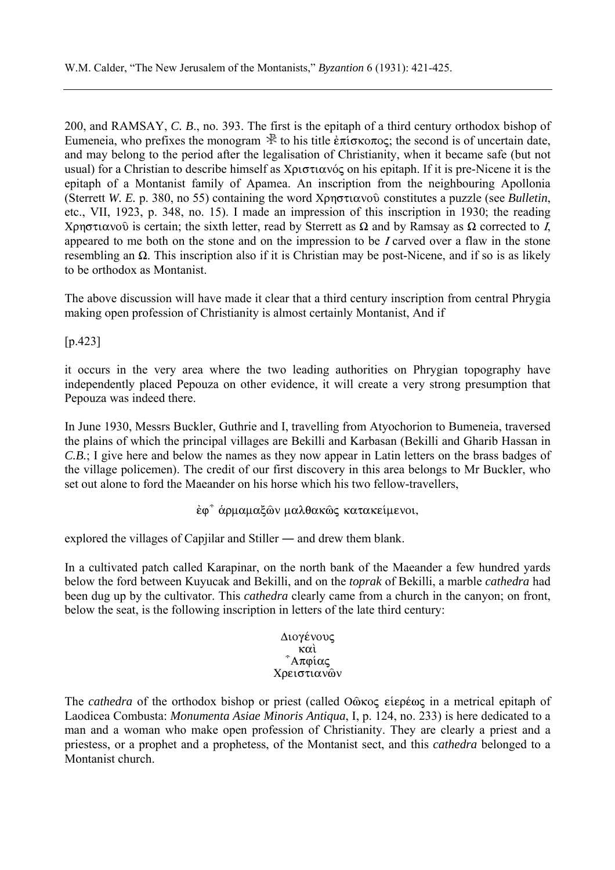200, and RAMSAY, *C. B*., no. 393. The first is the epitaph of a third century orthodox bishop of Eumeneia, who prefixes the monogram  $\mathbb R$  to his title  $\epsilon \pi$  is  $\epsilon$ , the second is of uncertain date, and may belong to the period after the legalisation of Christianity, when it became safe (but not usual) for a Christian to describe himself as  $X\rho\sigma\tau\iota\alpha\nu\acute{o}\varsigma$  on his epitaph. If it is pre-Nicene it is the epitaph of a Montanist family of Apamea. An inscription from the neighbouring Apollonia (Sterrett *W. E.* p. 380, no 55) containing the word  $X \rho \eta \sigma \tau \alpha$  voor constitutes a puzzle (see *Bulletin*, etc., VII, 1923, p. 348, no. 15). I made an impression of this inscription in 1930; the reading Xρηστιανοῦ is certain; the sixth letter, read by Sterrett as  $\Omega$  and by Ramsay as  $\Omega$  corrected to I, appeared to me both on the stone and on the impression to be I carved over a flaw in the stone resembling an  $\Omega$ . This inscription also if it is Christian may be post-Nicene, and if so is as likely to be orthodox as Montanist.

The above discussion will have made it clear that a third century inscription from central Phrygia making open profession of Christianity is almost certainly Montanist, And if

[p.423]

it occurs in the very area where the two leading authorities on Phrygian topography have independently placed Pepouza on other evidence, it will create a very strong presumption that Pepouza was indeed there.

In June 1930, Messrs Buckler, Guthrie and I, travelling from Atyochorion to Bumeneia, traversed the plains of which the principal villages are Bekilli and Karbasan (Bekilli and Gharib Hassan in *C.B.*; I give here and below the names as they now appear in Latin letters on the brass badges of the village policemen). The credit of our first discovery in this area belongs to Mr Buckler, who set out alone to ford the Maeander on his horse which his two fellow-travellers,

έφ<sup>η</sup> άρμαμαξών μαλθακώς κατακείμενοι,

explored the villages of Capjilar and Stiller ― and drew them blank.

In a cultivated patch called Karapinar, on the north bank of the Maeander a few hundred yards below the ford between Kuyucak and Bekilli, and on the *toprak* of Bekilli, a marble *cathedra* had been dug up by the cultivator. This *cathedra* clearly came from a church in the canyon; on front, below the seat, is the following inscription in letters of the late third century:

> Διογένους  $\kappa \alpha \grave{\iota}$ <sup>γ</sup>Απφίας Χρειστιανών

The *cathedra* of the orthodox bishop or priest (called Οῶκος εἱερέως in a metrical epitaph of Laodicea Combusta: *Monumenta Asiae Minoris Antiqua*, I, p. 124, no. 233) is here dedicated to a man and a woman who make open profession of Christianity. They are clearly a priest and a priestess, or a prophet and a prophetess, of the Montanist sect, and this *cathedra* belonged to a Montanist church.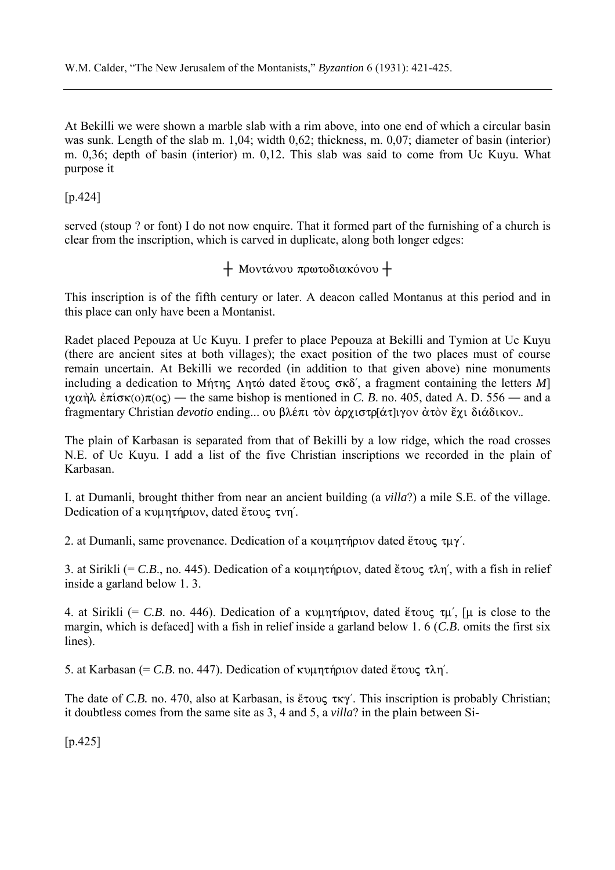At Bekilli we were shown a marble slab with a rim above, into one end of which a circular basin was sunk. Length of the slab m. 1,04; width 0,62; thickness, m. 0,07; diameter of basin (interior) m. 0,36; depth of basin (interior) m. 0,12. This slab was said to come from Uc Kuyu. What purpose it

[p.424]

served (stoup ? or font) I do not now enquire. That it formed part of the furnishing of a church is clear from the inscription, which is carved in duplicate, along both longer edges:

 $+$  Μοντάνου πρωτοδιακόνου +

This inscription is of the fifth century or later. A deacon called Montanus at this period and in this place can only have been a Montanist.

Radet placed Pepouza at Uc Kuyu. I prefer to place Pepouza at Bekilli and Tymion at Uc Kuyu (there are ancient sites at both villages); the exact position of the two places must of course remain uncertain. At Bekilli we recorded (in addition to that given above) nine monuments including a dedication to Mήτης  $\Lambda$ ητώ dated ἔτους σκδ', a fragment containing the letters *M*] iχαήλ  $\epsilon \pi$ ίσκ(o) $\pi$ (oς) — the same bishop is mentioned in *C. B.* no. 405, dated A. D. 556 — and a fragmentary Christian *devotio* ending... ου βλέπι τὸν ἀρχιστρ[άτ]ιγον ἀτὸν ἔχι διάδικον..

The plain of Karbasan is separated from that of Bekilli by a low ridge, which the road crosses N.E. of Uc Kuyu. I add a list of the five Christian inscriptions we recorded in the plain of Karbasan.

I. at Dumanli, brought thither from near an ancient building (a *villa*?) a mile S.E. of the village. Dedication of a κυμητήριον, dated ἔτους τνη΄.

2. at Dumanli, same provenance. Dedication of a kountriplov dated  $\epsilon \in \mathcal{U}$ .

3. at Sirikli (= C.B., no. 445). Dedication of a kolumation, dated  $\epsilon \infty$   $\alpha$   $\eta'$ , with a fish in relief inside a garland below 1. 3.

4. at Sirikli (= C.B. no. 446). Dedication of a  $\kappa \nu \mu \eta \tau \eta \rho \nu \nu$ , dated  $\epsilon \tau \nu \nu \nu$ , [ $\mu$  is close to the margin, which is defaced] with a fish in relief inside a garland below 1. 6 (*C.B*. omits the first six lines).

5. at Karbasan (= C.B. no. 447). Dedication of  $\kappa$  up  $\eta$  m and  $\kappa$   $\delta$   $\kappa$   $\delta$   $\eta$ .

The date of *C.B.* no. 470, also at Karbasan, is  $\epsilon \infty$   $\epsilon \in \mathbb{R}$ . This inscription is probably Christian; it doubtless comes from the same site as 3, 4 and 5, a *villa*? in the plain between Si-

 $[p.425]$